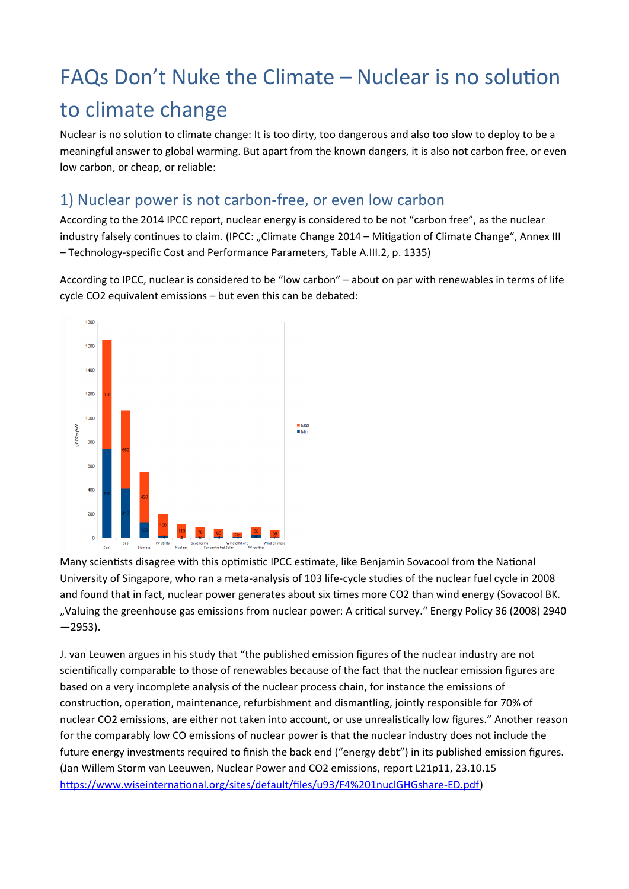# FAQs Don't Nuke the Climate – Nuclear is no solution to climate change

Nuclear is no solution to climate change: It is too dirty, too dangerous and also too slow to deploy to be a meaningful answer to global warming. But apart from the known dangers, it is also not carbon free, or even low carbon, or cheap, or reliable:

#### 1) Nuclear power is not carbon-free, or even low carbon

According to the 2014 IPCC report, nuclear energy is considered to be not "carbon free", as the nuclear industry falsely continues to claim. (IPCC: "Climate Change 2014 – Mitigation of Climate Change", Annex III – Technology-specific Cost and Performance Parameters, Table A.III.2, p. 1335)

According to IPCC, nuclear is considered to be "low carbon" – about on par with renewables in terms of life cycle CO2 equivalent emissions – but even this can be debated:



Many scientists disagree with this optimistic IPCC estimate, like Benjamin Sovacool from the National University of Singapore, who ran a meta-analysis of 103 life-cycle studies of the nuclear fuel cycle in 2008 and found that in fact, nuclear power generates about six times more CO2 than wind energy (Sovacool BK. "Valuing the greenhouse gas emissions from nuclear power: A critical survey." Energy Policy 36 (2008) 2940  $-2953$ ).

J. van Leuwen argues in his study that "the published emission figures of the nuclear industry are not scientifically comparable to those of renewables because of the fact that the nuclear emission figures are based on a very incomplete analysis of the nuclear process chain, for instance the emissions of construction, operation, maintenance, refurbishment and dismantling, jointly responsible for 70% of nuclear CO2 emissions, are either not taken into account, or use unrealistically low figures." Another reason for the comparably low CO emissions of nuclear power is that the nuclear industry does not include the future energy investments required to finish the back end ("energy debt") in its published emission figures. (Jan Willem Storm van Leeuwen, Nuclear Power and CO2 emissions, report L21p11, 23.10.15 <https://www.wiseinternational.org/sites/default/files/u93/F4%201nuclGHGshare-ED.pdf>)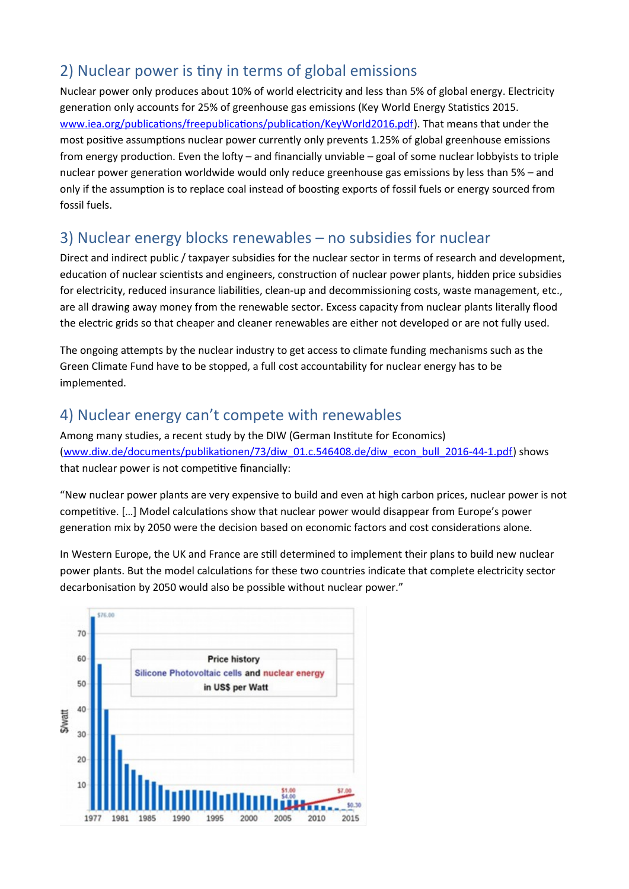## 2) Nuclear power is tiny in terms of global emissions

Nuclear power only produces about 10% of world electricity and less than 5% of global energy. Electricity generation only accounts for 25% of greenhouse gas emissions (Key World Energy Statistics 2015. [www.iea.org/publications/freepublications/publication/KeyWorld2016.pdf\)](http://www.iea.org/publications/freepublications/publication/KeyWorld2016.pdf). That means that under the most positive assumptions nuclear power currently only prevents 1.25% of global greenhouse emissions from energy production. Even the lofty – and financially unviable – goal of some nuclear lobbyists to triple nuclear power generation worldwide would only reduce greenhouse gas emissions by less than 5% – and only if the assumption is to replace coal instead of boosting exports of fossil fuels or energy sourced from fossil fuels.

#### 3) Nuclear energy blocks renewables – no subsidies for nuclear

Direct and indirect public / taxpayer subsidies for the nuclear sector in terms of research and development, education of nuclear scientists and engineers, construction of nuclear power plants, hidden price subsidies for electricity, reduced insurance liabilities, clean-up and decommissioning costs, waste management, etc., are all drawing away money from the renewable sector. Excess capacity from nuclear plants literally flood the electric grids so that cheaper and cleaner renewables are either not developed or are not fully used.

The ongoing attempts by the nuclear industry to get access to climate funding mechanisms such as the Green Climate Fund have to be stopped, a full cost accountability for nuclear energy has to be implemented.

#### 4) Nuclear energy can't compete with renewables

Among many studies, a recent study by the DIW (German Institute for Economics) [\(www.diw.de/documents/publikationen/73/diw\\_01.c.546408.de/diw\\_econ\\_bull\\_2016-44-1.pdf\)](http://www.diw.de/documents/publikationen/73/diw_01.c.546408.de/diw_econ_bull_2016-44-1.pdf) shows that nuclear power is not competitive financially:

"New nuclear power plants are very expensive to build and even at high carbon prices, nuclear power is not competitive. […] Model calculations show that nuclear power would disappear from Europe's power generation mix by 2050 were the decision based on economic factors and cost considerations alone.

In Western Europe, the UK and France are still determined to implement their plans to build new nuclear power plants. But the model calculations for these two countries indicate that complete electricity sector decarbonisation by 2050 would also be possible without nuclear power."

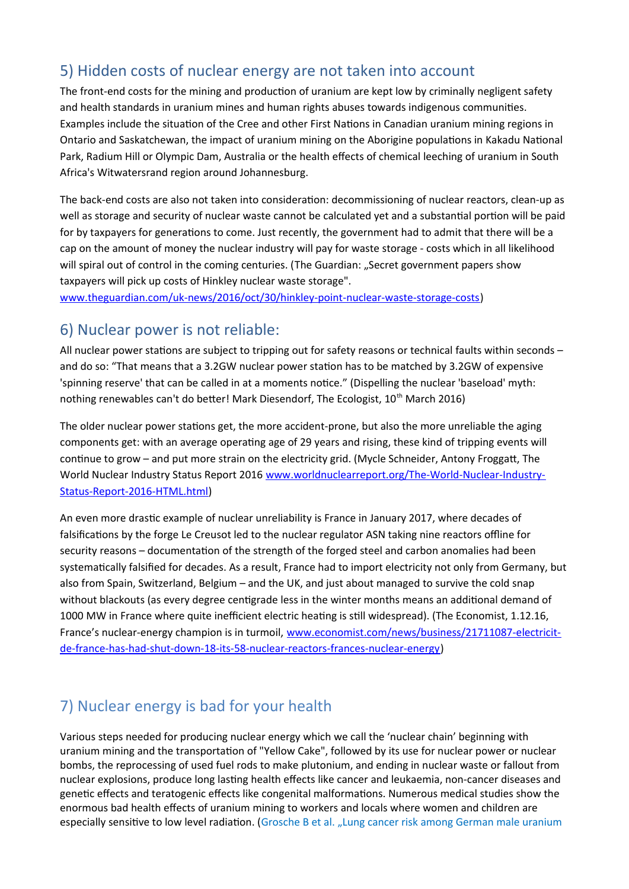### 5) Hidden costs of nuclear energy are not taken into account

The front-end costs for the mining and production of uranium are kept low by criminally negligent safety and health standards in uranium mines and human rights abuses towards indigenous communities. Examples include the situation of the Cree and other First Nations in Canadian uranium mining regions in Ontario and Saskatchewan, the impact of uranium mining on the Aborigine populations in Kakadu National Park, Radium Hill or Olympic Dam, Australia or the health effects of chemical leeching of uranium in South Africa's Witwatersrand region around Johannesburg.

The back-end costs are also not taken into consideration: decommissioning of nuclear reactors, clean-up as well as storage and security of nuclear waste cannot be calculated yet and a substantial portion will be paid for by taxpayers for generations to come. Just recently, the government had to admit that there will be a cap on the amount of money the nuclear industry will pay for waste storage - costs which in all likelihood will spiral out of control in the coming centuries. (The Guardian: "Secret government papers show taxpayers will pick up costs of Hinkley nuclear waste storage".

[www.theguardian.com/uk-news/2016/oct/30/hinkley-point-nuclear-waste-storage-costs\)](http://www.theguardian.com/uk-news/2016/oct/30/hinkley-point-nuclear-waste-storage-costs)

#### 6) Nuclear power is not reliable:

All nuclear power stations are subject to tripping out for safety reasons or technical faults within seconds – and do so: "That means that a 3.2GW nuclear power station has to be matched by 3.2GW of expensive 'spinning reserve' that can be called in at a moments notice." (Dispelling the nuclear 'baseload' myth: nothing renewables can't do better! Mark Diesendorf, The Ecologist, 10<sup>th</sup> March 2016)

The older nuclear power stations get, the more accident-prone, but also the more unreliable the aging components get: with an average operating age of 29 years and rising, these kind of tripping events will continue to grow – and put more strain on the electricity grid. (Mycle Schneider, Antony Froggatt, The World Nuclear Industry Status Report 2016 [www.worldnuclearreport.org/The-World-Nuclear-Industry-](http://www.worldnuclearreport.org/The-World-Nuclear-Industry-Status-Report-2016-HTML.html)[Status-Report-2016-HTML.html](http://www.worldnuclearreport.org/The-World-Nuclear-Industry-Status-Report-2016-HTML.html))

An even more drastic example of nuclear unreliability is France in January 2017, where decades of falsifications by the forge Le Creusot led to the nuclear regulator ASN taking nine reactors offline for security reasons – documentation of the strength of the forged steel and carbon anomalies had been systematically falsified for decades. As a result, France had to import electricity not only from Germany, but also from Spain, Switzerland, Belgium – and the UK, and just about managed to survive the cold snap without blackouts (as every degree centigrade less in the winter months means an additional demand of 1000 MW in France where quite inefficient electric heating is still widespread). (The Economist, 1.12.16, France's nuclear-energy champion is in turmoil, [www.economist.com/news/business/21711087-electricit](http://www.economist.com/news/business/21711087-electricit-de-france-has-had-shut-down-18-its-58-nuclear-reactors-frances-nuclear-energy)[de-france-has-had-shut-down-18-its-58-nuclear-reactors-frances-nuclear-energy\)](http://www.economist.com/news/business/21711087-electricit-de-france-has-had-shut-down-18-its-58-nuclear-reactors-frances-nuclear-energy)

# 7) Nuclear energy is bad for your health

Various steps needed for producing nuclear energy which we call the 'nuclear chain' beginning with uranium mining and the transportation of "Yellow Cake", followed by its use for nuclear power or nuclear bombs, the reprocessing of used fuel rods to make plutonium, and ending in nuclear waste or fallout from nuclear explosions, produce long lasting health effects like cancer and leukaemia, non-cancer diseases and genetic effects and teratogenic effects like congenital malformations. Numerous medical studies show the enormous bad health effects of uranium mining to workers and locals where women and children are especially sensitive to low level radiation. (Grosche B et al. "Lung cancer risk among German male uranium